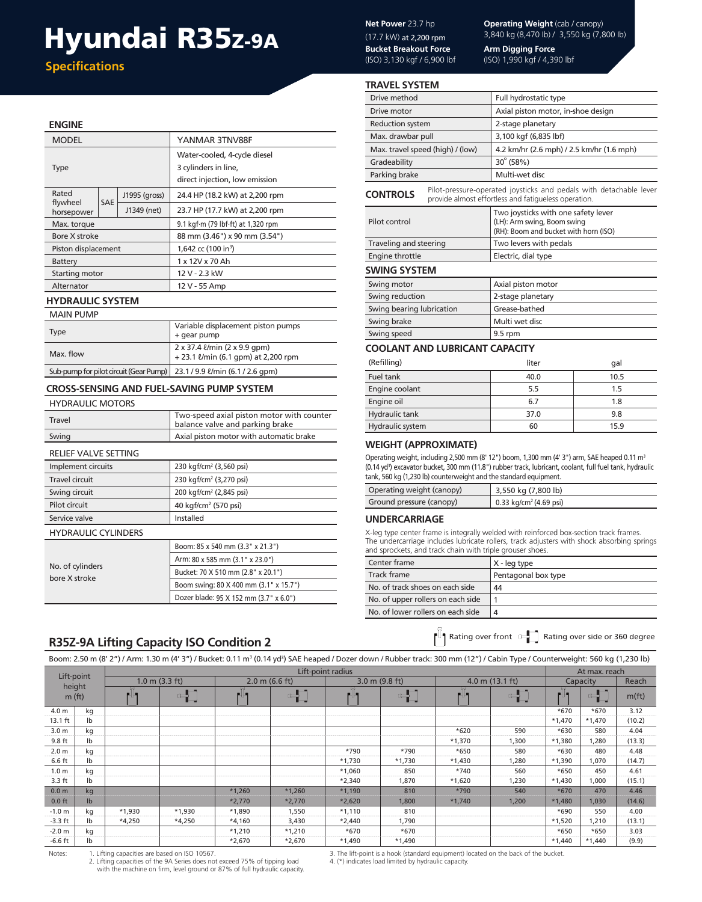# Hyundai R35z-9A

**Specifications**

# **ENGINE**

| <b>MODEL</b>           |            |               | YANMAR 3TNV88F                                                                         |  |  |  |
|------------------------|------------|---------------|----------------------------------------------------------------------------------------|--|--|--|
| <b>Type</b>            |            |               | Water-cooled, 4-cycle diesel<br>3 cylinders in line,<br>direct injection, low emission |  |  |  |
| Rated                  |            | J1995 (gross) | 24.4 HP (18.2 kW) at 2,200 rpm                                                         |  |  |  |
| flywheel<br>horsepower | <b>SAE</b> | J1349 (net)   | 23.7 HP (17.7 kW) at 2,200 rpm                                                         |  |  |  |
| Max. torque            |            |               | 9.1 kgf·m (79 lbf·ft) at 1,320 rpm                                                     |  |  |  |
| Bore X stroke          |            |               | 88 mm (3.46") x 90 mm (3.54")                                                          |  |  |  |
| Piston displacement    |            |               | 1,642 cc (100 in <sup>3</sup> )                                                        |  |  |  |
| Battery                |            |               | 1 x 12V x 70 Ah                                                                        |  |  |  |
| Starting motor         |            |               | 12 V - 2.3 kW                                                                          |  |  |  |
| Alternator             |            |               | 12 V - 55 Amp                                                                          |  |  |  |

# **HYDRAULIC SYSTEM**

| <b>MAIN PUMP</b>                                                          |                                                                                  |
|---------------------------------------------------------------------------|----------------------------------------------------------------------------------|
| Type                                                                      | Variable displacement piston pumps<br>+ gear pump                                |
| Max. flow                                                                 | $2 \times 37.4$ $\ell$ /min (2 x 9.9 gpm)<br>+ 23.1 l/min (6.1 gpm) at 2,200 rpm |
| Sub-pump for pilot circuit (Gear Pump)   23.1 / 9.9 l/min (6.1 / 2.6 gpm) |                                                                                  |

# **CROSS-SENSING AND FUEL-SAVING PUMP SYSTEM**

| <b>HYDRAULIC MOTORS</b> |                                                                              |
|-------------------------|------------------------------------------------------------------------------|
| Travel                  | Two-speed axial piston motor with counter<br>balance valve and parking brake |
| Swing                   | Axial piston motor with automatic brake                                      |

#### RELIEF VALVE SETTING

| Implement circuits                | 230 kgf/cm <sup>2</sup> (3,560 psi)    |  |  |
|-----------------------------------|----------------------------------------|--|--|
| Travel circuit                    | 230 kgf/cm <sup>2</sup> (3,270 psi)    |  |  |
| Swing circuit                     | 200 kgf/cm <sup>2</sup> (2,845 psi)    |  |  |
| Pilot circuit                     | 40 kgf/cm <sup>2</sup> (570 psi)       |  |  |
| Service valve                     | Installed                              |  |  |
| <b>HYDRAULIC CYLINDERS</b>        |                                        |  |  |
|                                   | Boom: 85 x 540 mm (3.3" x 21.3")       |  |  |
|                                   | Arm: 80 x 585 mm (3.1" x 23.0")        |  |  |
| No. of cylinders<br>bore X stroke | Bucket: 70 X 510 mm (2.8" x 20.1")     |  |  |
|                                   | Boom swing: 80 X 400 mm (3.1" x 15.7") |  |  |
|                                   | Dozer blade: 95 X 152 mm (3.7" x 6.0") |  |  |

# **Net Power** 23.7 hp (17.7 kW) at 2,200 rpm

**Operating Weight** (cab / canopy) 3,840 kg (8,470 Ib) / 3,550 kg (7,800 Ib)

**Arm Digging Force** (ISO) 1,990 kgf / 4,390 lbf

#### **TRAVEL SYSTEM**

**Bucket Breakout Force** (ISO) 3,130 kgf / 6,900 lbf

| Drive method                          | Full hydrostatic type                                                                                                      |  |  |  |
|---------------------------------------|----------------------------------------------------------------------------------------------------------------------------|--|--|--|
| Drive motor                           | Axial piston motor, in-shoe design                                                                                         |  |  |  |
| <b>Reduction system</b>               | 2-stage planetary                                                                                                          |  |  |  |
| Max. drawbar pull                     | 3,100 kgf (6,835 lbf)                                                                                                      |  |  |  |
| Max. travel speed (high) / (low)      | 4.2 km/hr (2.6 mph) / 2.5 km/hr (1.6 mph)                                                                                  |  |  |  |
| Gradeability                          | $30^{\circ}$ (58%)                                                                                                         |  |  |  |
| Parking brake                         | Multi-wet disc                                                                                                             |  |  |  |
| <b>CONTROLS</b>                       | Pilot-pressure-operated joysticks and pedals with detachable lever<br>provide almost effortless and fatigueless operation. |  |  |  |
| Pilot control                         | Two joysticks with one safety lever<br>(LH): Arm swing, Boom swing<br>(RH): Boom and bucket with horn (ISO)                |  |  |  |
| Traveling and steering                | Two levers with pedals                                                                                                     |  |  |  |
| Engine throttle                       | Electric, dial type                                                                                                        |  |  |  |
| SWING SYSTEM                          |                                                                                                                            |  |  |  |
| Swing motor                           | Axial piston motor                                                                                                         |  |  |  |
| Swing reduction                       | 2-stage planetary                                                                                                          |  |  |  |
| Swing bearing lubrication             | Grease-bathed                                                                                                              |  |  |  |
| Swing brake                           | Multi wet disc                                                                                                             |  |  |  |
| Swing speed                           | 9.5 rpm                                                                                                                    |  |  |  |
| <b>COOLANT AND LUBRICANT CAPACITY</b> |                                                                                                                            |  |  |  |
| (Refilling)                           | liter<br>aal                                                                                                               |  |  |  |

| liter | gal  |
|-------|------|
| 40.0  | 10.5 |
| 5.5   | 1.5  |
| 6.7   | 1.8  |
| 37.0  | 9.8  |
| 60    | 15.9 |
|       |      |

# **WEIGHT (APPROXIMATE)**

Operating weight, including 2,500 mm (8' 12") boom, 1,300 mm (4' 3") arm, SAE heaped 0.11 m3 (0.14 yd3 ) excavator bucket, 300 mm (11.8") rubber track, lubricant, coolant, full fuel tank, hydraulic tank, 560 kg (1,230 lb) counterweight and the standard equipment.

| Operating weight (canopy) | 3,550 kg (7,800 lb)                        |
|---------------------------|--------------------------------------------|
| Ground pressure (canopy)  | $\vert$ 0.33 kg/cm <sup>2</sup> (4.69 psi) |

#### **UNDERCARRIAGE**

X-leg type center frame is integrally welded with reinforced box-section track frames. The undercarriage includes lubricate rollers, track adjusters with shock absorbing springs and sprockets, and track chain with triple grouser shoes.

| Center frame                      | X - leg type        |
|-----------------------------------|---------------------|
| Track frame                       | Pentagonal box type |
| No. of track shoes on each side   | 44                  |
| No. of upper rollers on each side |                     |
| No. of lower rollers on each side |                     |

# **R35Z-9A Lifting Capacity ISO Condition 2**

 $\mathbb{F}^{\overline{U}}$  Rating over front  $\mathbb{F}^{\overline{U}}$  Rating over side or 360 degree

| Boom: 2.50 m (8' 2") / Arm: 1.30 m (4' 3") / Bucket: 0.11 m <sup>3</sup> (0.14 yd <sup>3</sup> ) SAE heaped / Dozer down / Rubber track: 300 mm (12") / Cabin Type / Counterweight: 560 kg (1,230 lb) |  |
|-------------------------------------------------------------------------------------------------------------------------------------------------------------------------------------------------------|--|
|                                                                                                                                                                                                       |  |

|                                  |                |          | Lift-point radius                                                                                                                                                                                                                                                                                                                                   |           |                                                                                                                                                                                                                                                                                                                                                     |          |                                       |          |                                                                                                                                                                                                                                                                                                                                                     | At max. reach |                         |          |
|----------------------------------|----------------|----------|-----------------------------------------------------------------------------------------------------------------------------------------------------------------------------------------------------------------------------------------------------------------------------------------------------------------------------------------------------|-----------|-----------------------------------------------------------------------------------------------------------------------------------------------------------------------------------------------------------------------------------------------------------------------------------------------------------------------------------------------------|----------|---------------------------------------|----------|-----------------------------------------------------------------------------------------------------------------------------------------------------------------------------------------------------------------------------------------------------------------------------------------------------------------------------------------------------|---------------|-------------------------|----------|
| Lift-point<br>height<br>$m$ (ft) |                |          | 1.0 m (3.3 ft)                                                                                                                                                                                                                                                                                                                                      |           | 2.0 m (6.6 ft)                                                                                                                                                                                                                                                                                                                                      |          | $3.0$ m $(9.8$ ft)                    |          | $4.0$ m $(13.1)$ ft)                                                                                                                                                                                                                                                                                                                                |               | Capacity                |          |
|                                  |                | ل⊐<br>FЧ | $\begin{picture}(20,20) \put(0,0){\line(1,0){10}} \put(15,0){\line(1,0){10}} \put(15,0){\line(1,0){10}} \put(15,0){\line(1,0){10}} \put(15,0){\line(1,0){10}} \put(15,0){\line(1,0){10}} \put(15,0){\line(1,0){10}} \put(15,0){\line(1,0){10}} \put(15,0){\line(1,0){10}} \put(15,0){\line(1,0){10}} \put(15,0){\line(1,0){10}} \put(15,0){\line(1$ | 4<br>r l- | $\begin{picture}(20,20) \put(0,0){\line(1,0){10}} \put(15,0){\line(1,0){10}} \put(15,0){\line(1,0){10}} \put(15,0){\line(1,0){10}} \put(15,0){\line(1,0){10}} \put(15,0){\line(1,0){10}} \put(15,0){\line(1,0){10}} \put(15,0){\line(1,0){10}} \put(15,0){\line(1,0){10}} \put(15,0){\line(1,0){10}} \put(15,0){\line(1,0){10}} \put(15,0){\line(1$ | ٣Ľ       | $\begin{array}{c} \hline \end{array}$ | ۴۳       | $\begin{picture}(20,20) \put(0,0){\line(1,0){10}} \put(15,0){\line(1,0){10}} \put(15,0){\line(1,0){10}} \put(15,0){\line(1,0){10}} \put(15,0){\line(1,0){10}} \put(15,0){\line(1,0){10}} \put(15,0){\line(1,0){10}} \put(15,0){\line(1,0){10}} \put(15,0){\line(1,0){10}} \put(15,0){\line(1,0){10}} \put(15,0){\line(1,0){10}} \put(15,0){\line(1$ | ╻╗            | $\overline{\mathbf{G}}$ | $m$ (ft) |
| 4.0 <sub>m</sub>                 | kg             |          |                                                                                                                                                                                                                                                                                                                                                     |           |                                                                                                                                                                                                                                                                                                                                                     |          |                                       |          |                                                                                                                                                                                                                                                                                                                                                     | $*670$        | $*670$                  | 3.12     |
| $13.1$ ft                        | lb             |          |                                                                                                                                                                                                                                                                                                                                                     |           |                                                                                                                                                                                                                                                                                                                                                     |          |                                       |          |                                                                                                                                                                                                                                                                                                                                                     | $*1,470$      | $*1,470$                | (10.2)   |
| 3.0 <sub>m</sub>                 | kg             |          |                                                                                                                                                                                                                                                                                                                                                     |           |                                                                                                                                                                                                                                                                                                                                                     |          |                                       | $*620$   | 590                                                                                                                                                                                                                                                                                                                                                 | $*630$        | 580                     | 4.04     |
| $9.8$ ft                         | lb             |          |                                                                                                                                                                                                                                                                                                                                                     |           |                                                                                                                                                                                                                                                                                                                                                     |          |                                       | $*1,370$ | 1,300                                                                                                                                                                                                                                                                                                                                               | $*1,380$      | 1,280                   | (13.3)   |
| 2.0 <sub>m</sub>                 | kg             |          |                                                                                                                                                                                                                                                                                                                                                     |           |                                                                                                                                                                                                                                                                                                                                                     | *790     | *790                                  | $*650$   | 580                                                                                                                                                                                                                                                                                                                                                 | $*630$        | 480                     | 4.48     |
| $6.6$ ft                         | lb             |          |                                                                                                                                                                                                                                                                                                                                                     |           |                                                                                                                                                                                                                                                                                                                                                     | $*1,730$ | $*1,730$                              | $*1,430$ | 1,280                                                                                                                                                                                                                                                                                                                                               | $*1,390$      | 1,070                   | (14.7)   |
| 1.0 <sub>m</sub>                 | kg             |          |                                                                                                                                                                                                                                                                                                                                                     |           |                                                                                                                                                                                                                                                                                                                                                     | $*1,060$ | 850                                   | $*740$   | 560                                                                                                                                                                                                                                                                                                                                                 | $*650$        | 450                     | 4.61     |
| $3.3$ ft                         | $\mathsf{lb}$  |          |                                                                                                                                                                                                                                                                                                                                                     |           |                                                                                                                                                                                                                                                                                                                                                     | $*2,340$ | 1,870                                 | $*1,620$ | 1,230                                                                                                                                                                                                                                                                                                                                               | $*1,430$      | 1,000                   | (15.1)   |
| 0.0 <sub>m</sub>                 | kg             |          |                                                                                                                                                                                                                                                                                                                                                     | $*1,260$  | $*1,260$                                                                                                                                                                                                                                                                                                                                            | $*1,190$ | 810                                   | $*790$   | 540                                                                                                                                                                                                                                                                                                                                                 | $*670$        | 470                     | 4.46     |
| $0.0$ ft                         | I <sub>b</sub> |          |                                                                                                                                                                                                                                                                                                                                                     | $*2,770$  | $*2,770$                                                                                                                                                                                                                                                                                                                                            | $*2,620$ | 1,800                                 | $*1,740$ | 1,200                                                                                                                                                                                                                                                                                                                                               | $*1,480$      | 1,030                   | (14.6)   |
| $-1.0 m$                         | kg             | $*1,930$ | $*1,930$                                                                                                                                                                                                                                                                                                                                            | *1,890    | 1,550                                                                                                                                                                                                                                                                                                                                               | $*1,110$ | 810                                   |          |                                                                                                                                                                                                                                                                                                                                                     | $*690$        | 550                     | 4.00     |
| $-3.3$ ft                        | lb             | $*4,250$ | $*4,250$                                                                                                                                                                                                                                                                                                                                            | $*4,160$  | 3,430                                                                                                                                                                                                                                                                                                                                               | $*2,440$ | 1,790                                 |          |                                                                                                                                                                                                                                                                                                                                                     | $*1,520$      | 1,210                   | (13.1)   |
| $-2.0 m$                         | kg             |          |                                                                                                                                                                                                                                                                                                                                                     | $*1,210$  | $*1,210$                                                                                                                                                                                                                                                                                                                                            | $*670$   | $*670$                                |          |                                                                                                                                                                                                                                                                                                                                                     | $*650$        | *650                    | 3.03     |
| $-6.6$ ft                        | Ib             |          |                                                                                                                                                                                                                                                                                                                                                     | $*2,670$  | $*2,670$                                                                                                                                                                                                                                                                                                                                            | $*1,490$ | $*1,490$                              |          |                                                                                                                                                                                                                                                                                                                                                     | $*1,440$      | $*1,440$                | (9.9)    |

Notes: 1. Lifting capacities are based on ISO 10567. 2. Lifting capacities of the 9A Series does not exceed 75% of tipping load with the machine on fi rm, level ground or 87% of full hydraulic capacity.

3. The lift-point is a hook (standard equipment) located on the back of the bucket. 4. (\*) indicates load limited by hydraulic capacity.